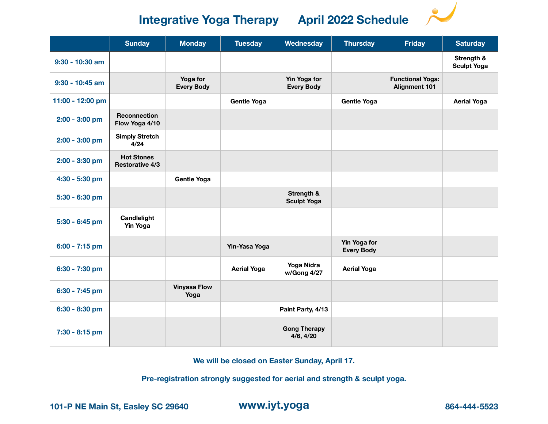**Integrative Yoga Therapy April 2022 Schedule** 

|                   | <b>Sunday</b>                               | <b>Monday</b>                 | <b>Tuesday</b>     | Wednesday                         | <b>Thursday</b>                   | <b>Friday</b>                                   | <b>Saturday</b>                  |
|-------------------|---------------------------------------------|-------------------------------|--------------------|-----------------------------------|-----------------------------------|-------------------------------------------------|----------------------------------|
| $9:30 - 10:30$ am |                                             |                               |                    |                                   |                                   |                                                 | Strength &<br><b>Sculpt Yoga</b> |
| $9:30 - 10:45$ am |                                             | Yoga for<br><b>Every Body</b> |                    | Yin Yoga for<br><b>Every Body</b> |                                   | <b>Functional Yoga:</b><br><b>Alignment 101</b> |                                  |
| 11:00 - 12:00 pm  |                                             |                               | <b>Gentle Yoga</b> |                                   | <b>Gentle Yoga</b>                |                                                 | <b>Aerial Yoga</b>               |
| 2:00 - 3:00 pm    | <b>Reconnection</b><br>Flow Yoga 4/10       |                               |                    |                                   |                                   |                                                 |                                  |
| 2:00 - 3:00 pm    | <b>Simply Stretch</b><br>4/24               |                               |                    |                                   |                                   |                                                 |                                  |
| 2:00 - 3:30 pm    | <b>Hot Stones</b><br><b>Restorative 4/3</b> |                               |                    |                                   |                                   |                                                 |                                  |
| 4:30 - 5:30 pm    |                                             | <b>Gentle Yoga</b>            |                    |                                   |                                   |                                                 |                                  |
| 5:30 - 6:30 pm    |                                             |                               |                    | Strength &<br><b>Sculpt Yoga</b>  |                                   |                                                 |                                  |
| 5:30 - 6:45 pm    | Candlelight<br><b>Yin Yoga</b>              |                               |                    |                                   |                                   |                                                 |                                  |
| 6:00 - 7:15 pm    |                                             |                               | Yin-Yasa Yoga      |                                   | Yin Yoga for<br><b>Every Body</b> |                                                 |                                  |
| 6:30 - 7:30 pm    |                                             |                               | <b>Aerial Yoga</b> | Yoga Nidra<br>w/Gong 4/27         | <b>Aerial Yoga</b>                |                                                 |                                  |
| 6:30 - 7:45 pm    |                                             | <b>Vinyasa Flow</b><br>Yoga   |                    |                                   |                                   |                                                 |                                  |
| 6:30 - 8:30 pm    |                                             |                               |                    | Paint Party, 4/13                 |                                   |                                                 |                                  |
| 7:30 - 8:15 pm    |                                             |                               |                    | <b>Gong Therapy</b><br>4/6, 4/20  |                                   |                                                 |                                  |

**We will be closed on Easter Sunday, April 17.** 

**Pre-registration strongly suggested for aerial and strength & sculpt yoga.** 

**101-P NE Main St, Easley SC 29640 [www.iyt.yoga](http://www.iyt.yoga) 864-444-5523**